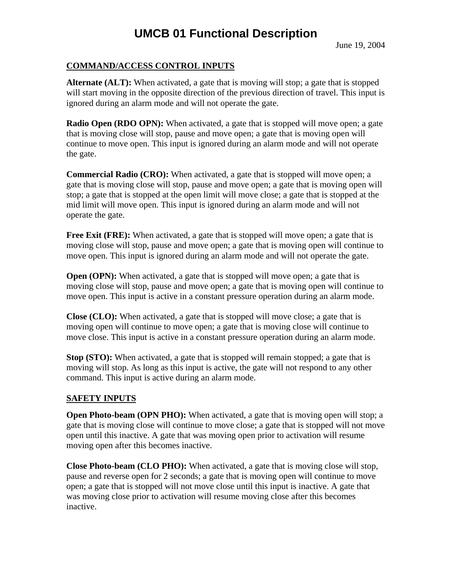June 19, 2004

## **COMMAND/ACCESS CONTROL INPUTS**

**Alternate (ALT):** When activated, a gate that is moving will stop; a gate that is stopped will start moving in the opposite direction of the previous direction of travel. This input is ignored during an alarm mode and will not operate the gate.

**Radio Open (RDO OPN):** When activated, a gate that is stopped will move open; a gate that is moving close will stop, pause and move open; a gate that is moving open will continue to move open. This input is ignored during an alarm mode and will not operate the gate.

**Commercial Radio (CRO):** When activated, a gate that is stopped will move open; a gate that is moving close will stop, pause and move open; a gate that is moving open will stop; a gate that is stopped at the open limit will move close; a gate that is stopped at the mid limit will move open. This input is ignored during an alarm mode and will not operate the gate.

**Free Exit (FRE):** When activated, a gate that is stopped will move open; a gate that is moving close will stop, pause and move open; a gate that is moving open will continue to move open. This input is ignored during an alarm mode and will not operate the gate.

**Open (OPN):** When activated, a gate that is stopped will move open; a gate that is moving close will stop, pause and move open; a gate that is moving open will continue to move open. This input is active in a constant pressure operation during an alarm mode.

**Close (CLO):** When activated, a gate that is stopped will move close; a gate that is moving open will continue to move open; a gate that is moving close will continue to move close. This input is active in a constant pressure operation during an alarm mode.

**Stop (STO):** When activated, a gate that is stopped will remain stopped; a gate that is moving will stop. As long as this input is active, the gate will not respond to any other command. This input is active during an alarm mode.

#### **SAFETY INPUTS**

**Open Photo-beam (OPN PHO):** When activated, a gate that is moving open will stop; a gate that is moving close will continue to move close; a gate that is stopped will not move open until this inactive. A gate that was moving open prior to activation will resume moving open after this becomes inactive.

**Close Photo-beam (CLO PHO):** When activated, a gate that is moving close will stop, pause and reverse open for 2 seconds; a gate that is moving open will continue to move open; a gate that is stopped will not move close until this input is inactive. A gate that was moving close prior to activation will resume moving close after this becomes inactive.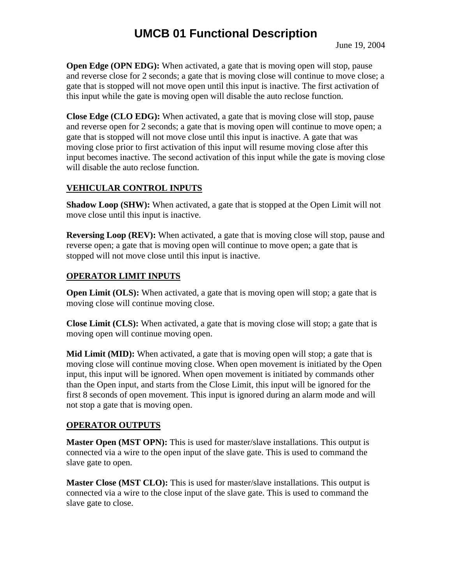**Open Edge (OPN EDG):** When activated, a gate that is moving open will stop, pause and reverse close for 2 seconds; a gate that is moving close will continue to move close; a gate that is stopped will not move open until this input is inactive. The first activation of this input while the gate is moving open will disable the auto reclose function.

**Close Edge (CLO EDG):** When activated, a gate that is moving close will stop, pause and reverse open for 2 seconds; a gate that is moving open will continue to move open; a gate that is stopped will not move close until this input is inactive. A gate that was moving close prior to first activation of this input will resume moving close after this input becomes inactive. The second activation of this input while the gate is moving close will disable the auto reclose function.

#### **VEHICULAR CONTROL INPUTS**

**Shadow Loop (SHW):** When activated, a gate that is stopped at the Open Limit will not move close until this input is inactive.

**Reversing Loop (REV):** When activated, a gate that is moving close will stop, pause and reverse open; a gate that is moving open will continue to move open; a gate that is stopped will not move close until this input is inactive.

## **OPERATOR LIMIT INPUTS**

**Open Limit (OLS):** When activated, a gate that is moving open will stop; a gate that is moving close will continue moving close.

**Close Limit (CLS):** When activated, a gate that is moving close will stop; a gate that is moving open will continue moving open.

**Mid Limit (MID):** When activated, a gate that is moving open will stop; a gate that is moving close will continue moving close. When open movement is initiated by the Open input, this input will be ignored. When open movement is initiated by commands other than the Open input, and starts from the Close Limit, this input will be ignored for the first 8 seconds of open movement. This input is ignored during an alarm mode and will not stop a gate that is moving open.

#### **OPERATOR OUTPUTS**

**Master Open (MST OPN):** This is used for master/slave installations. This output is connected via a wire to the open input of the slave gate. This is used to command the slave gate to open.

**Master Close (MST CLO):** This is used for master/slave installations. This output is connected via a wire to the close input of the slave gate. This is used to command the slave gate to close.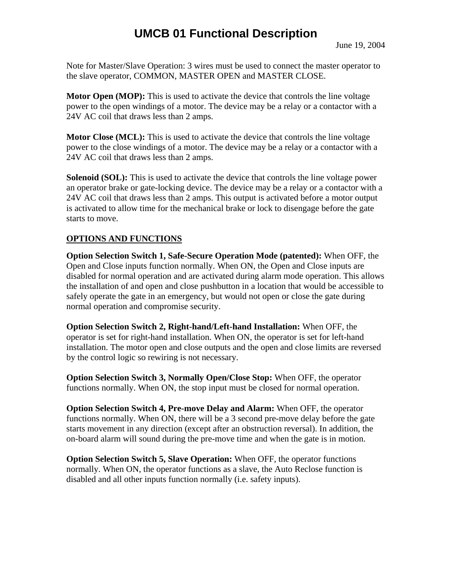Note for Master/Slave Operation: 3 wires must be used to connect the master operator to the slave operator, COMMON, MASTER OPEN and MASTER CLOSE.

**Motor Open (MOP):** This is used to activate the device that controls the line voltage power to the open windings of a motor. The device may be a relay or a contactor with a 24V AC coil that draws less than 2 amps.

**Motor Close (MCL):** This is used to activate the device that controls the line voltage power to the close windings of a motor. The device may be a relay or a contactor with a 24V AC coil that draws less than 2 amps.

**Solenoid (SOL):** This is used to activate the device that controls the line voltage power an operator brake or gate-locking device. The device may be a relay or a contactor with a 24V AC coil that draws less than 2 amps. This output is activated before a motor output is activated to allow time for the mechanical brake or lock to disengage before the gate starts to move.

#### **OPTIONS AND FUNCTIONS**

**Option Selection Switch 1, Safe-Secure Operation Mode (patented):** When OFF, the Open and Close inputs function normally. When ON, the Open and Close inputs are disabled for normal operation and are activated during alarm mode operation. This allows the installation of and open and close pushbutton in a location that would be accessible to safely operate the gate in an emergency, but would not open or close the gate during normal operation and compromise security.

**Option Selection Switch 2, Right-hand/Left-hand Installation:** When OFF, the operator is set for right-hand installation. When ON, the operator is set for left-hand installation. The motor open and close outputs and the open and close limits are reversed by the control logic so rewiring is not necessary.

**Option Selection Switch 3, Normally Open/Close Stop:** When OFF, the operator functions normally. When ON, the stop input must be closed for normal operation.

**Option Selection Switch 4, Pre-move Delay and Alarm:** When OFF, the operator functions normally. When ON, there will be a 3 second pre-move delay before the gate starts movement in any direction (except after an obstruction reversal). In addition, the on-board alarm will sound during the pre-move time and when the gate is in motion.

**Option Selection Switch 5, Slave Operation:** When OFF, the operator functions normally. When ON, the operator functions as a slave, the Auto Reclose function is disabled and all other inputs function normally (i.e. safety inputs).